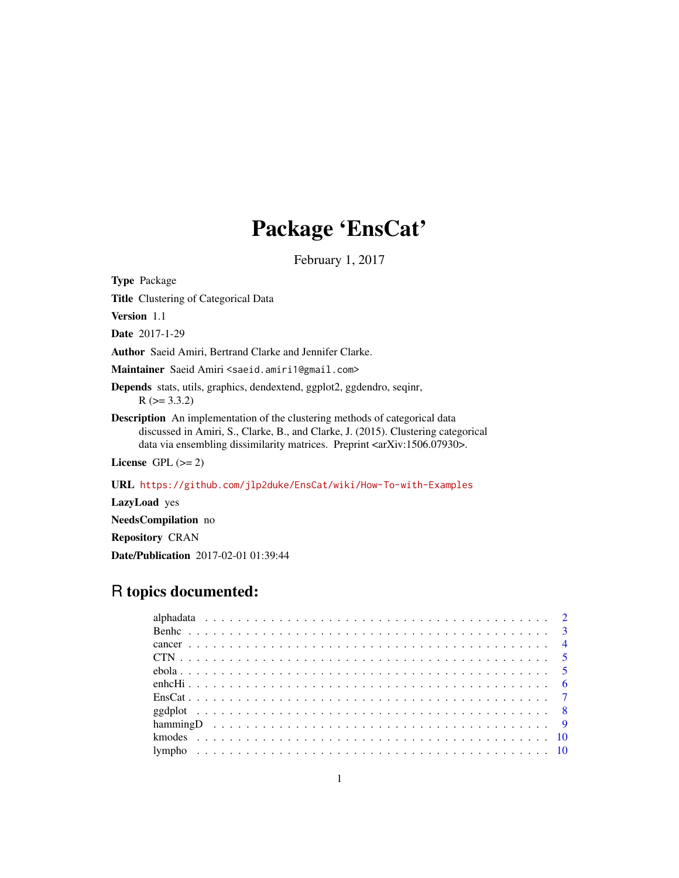# Package 'EnsCat'

February 1, 2017

<span id="page-0-0"></span>Type Package

Title Clustering of Categorical Data

Version 1.1

Date 2017-1-29

Author Saeid Amiri, Bertrand Clarke and Jennifer Clarke.

Maintainer Saeid Amiri <saeid.amiri1@gmail.com>

Depends stats, utils, graphics, dendextend, ggplot2, ggdendro, seqinr,  $R$  ( $>= 3.3.2$ )

Description An implementation of the clustering methods of categorical data discussed in Amiri, S., Clarke, B., and Clarke, J. (2015). Clustering categorical data via ensembling dissimilarity matrices. Preprint <arXiv:1506.07930>.

License GPL  $(>= 2)$ 

URL <https://github.com/jlp2duke/EnsCat/wiki/How-To-with-Examples>

LazyLoad yes

NeedsCompilation no

Repository CRAN

Date/Publication 2017-02-01 01:39:44

## R topics documented: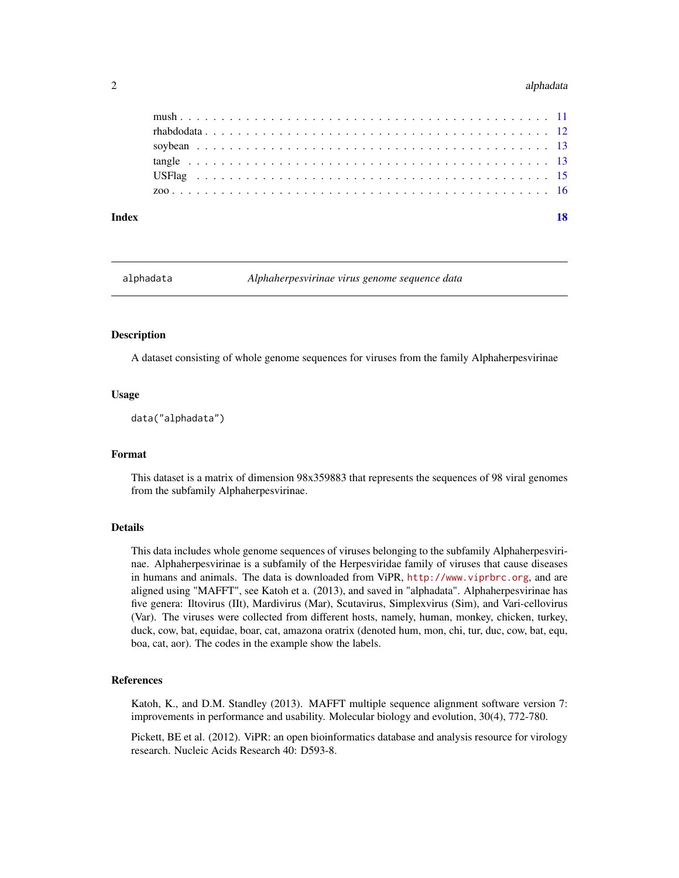#### <span id="page-1-0"></span>2 alphadata and 2 alphadata and 2 alphadata and 2 alphadata and 2 alphadata and 2 alphadata and 2 alphadata and 2 alphadata and 2 alphadata and 2 alphadata and 2 alphadata and 2 alphadata and 2 alphadata and 2 alphadata an

| Index |                 | 18 |
|-------|-----------------|----|
|       |                 |    |
|       |                 |    |
|       |                 |    |
|       |                 |    |
|       | $rhabdodata 12$ |    |
|       |                 |    |

<span id="page-1-1"></span>

alphadata *Alphaherpesvirinae virus genome sequence data*

#### **Description**

A dataset consisting of whole genome sequences for viruses from the family Alphaherpesvirinae

#### Usage

data("alphadata")

#### Format

This dataset is a matrix of dimension 98x359883 that represents the sequences of 98 viral genomes from the subfamily Alphaherpesvirinae.

#### Details

This data includes whole genome sequences of viruses belonging to the subfamily Alphaherpesvirinae. Alphaherpesvirinae is a subfamily of the Herpesviridae family of viruses that cause diseases in humans and animals. The data is downloaded from ViPR, <http://www.viprbrc.org>, and are aligned using "MAFFT", see Katoh et a. (2013), and saved in "alphadata". Alphaherpesvirinae has five genera: Iltovirus (IIt), Mardivirus (Mar), Scutavirus, Simplexvirus (Sim), and Vari-cellovirus (Var). The viruses were collected from different hosts, namely, human, monkey, chicken, turkey, duck, cow, bat, equidae, boar, cat, amazona oratrix (denoted hum, mon, chi, tur, duc, cow, bat, equ, boa, cat, aor). The codes in the example show the labels.

#### References

Katoh, K., and D.M. Standley (2013). MAFFT multiple sequence alignment software version 7: improvements in performance and usability. Molecular biology and evolution, 30(4), 772-780.

Pickett, BE et al. (2012). ViPR: an open bioinformatics database and analysis resource for virology research. Nucleic Acids Research 40: D593-8.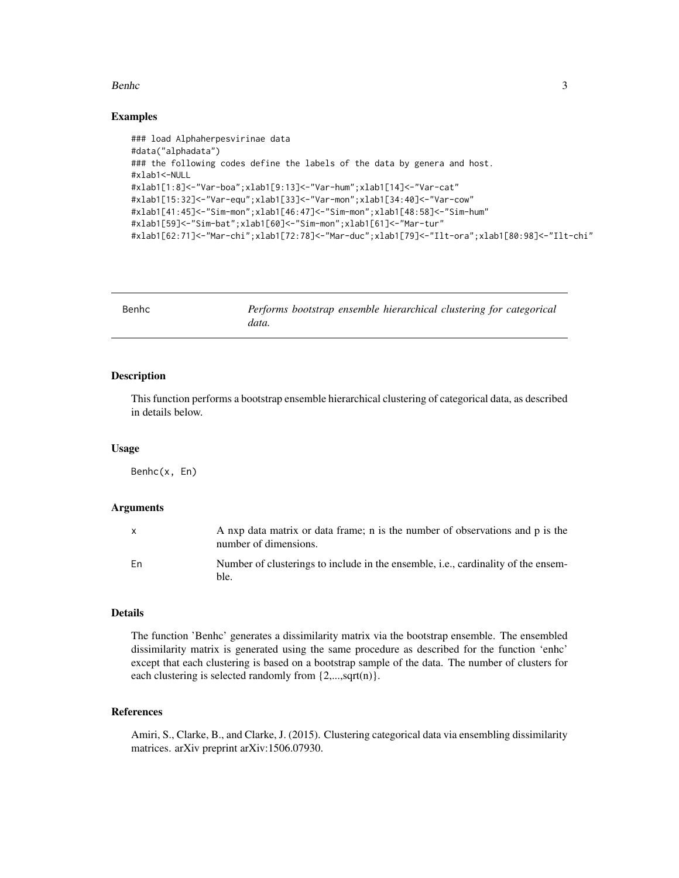#### <span id="page-2-0"></span>Benhc 3

#### Examples

```
### load Alphaherpesvirinae data
#data("alphadata")
### the following codes define the labels of the data by genera and host.
#xlab1<-NULL
#xlab1[1:8]<-"Var-boa";xlab1[9:13]<-"Var-hum";xlab1[14]<-"Var-cat"
#xlab1[15:32]<-"Var-equ";xlab1[33]<-"Var-mon";xlab1[34:40]<-"Var-cow"
#xlab1[41:45]<-"Sim-mon";xlab1[46:47]<-"Sim-mon";xlab1[48:58]<-"Sim-hum"
#xlab1[59]<-"Sim-bat";xlab1[60]<-"Sim-mon";xlab1[61]<-"Mar-tur"
#xlab1[62:71]<-"Mar-chi";xlab1[72:78]<-"Mar-duc";xlab1[79]<-"Ilt-ora";xlab1[80:98]<-"Ilt-chi"
```

| Benhc |       |  | Performs bootstrap ensemble hierarchical clustering for categorical |  |  |
|-------|-------|--|---------------------------------------------------------------------|--|--|
|       | data. |  |                                                                     |  |  |

#### Description

This function performs a bootstrap ensemble hierarchical clustering of categorical data, as described in details below.

#### Usage

Benhc(x, En)

#### Arguments

| $\mathsf{x}$ | A nxp data matrix or data frame; n is the number of observations and p is the<br>number of dimensions. |
|--------------|--------------------------------------------------------------------------------------------------------|
| Fn           | Number of clusterings to include in the ensemble, <i>i.e.</i> , cardinality of the ensem-<br>ble.      |

#### Details

The function 'Benhc' generates a dissimilarity matrix via the bootstrap ensemble. The ensembled dissimilarity matrix is generated using the same procedure as described for the function 'enhc' except that each clustering is based on a bootstrap sample of the data. The number of clusters for each clustering is selected randomly from  $\{2,...,sqrt(n)\}.$ 

#### References

Amiri, S., Clarke, B., and Clarke, J. (2015). Clustering categorical data via ensembling dissimilarity matrices. arXiv preprint arXiv:1506.07930.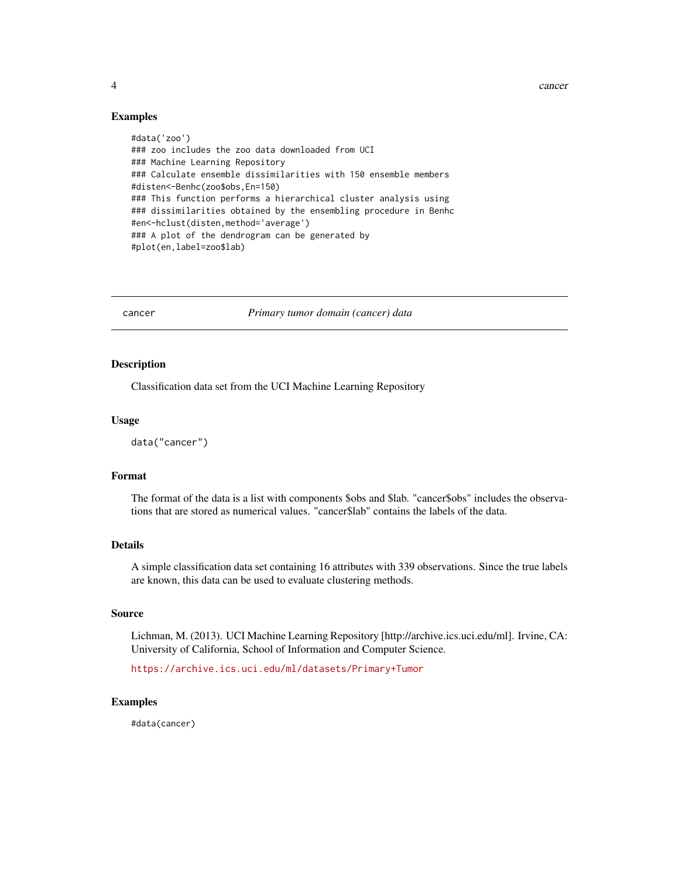4 cancer and  $\alpha$  cancer and  $\alpha$  cancer and  $\alpha$  cancer and  $\alpha$  cancer and  $\alpha$ 

#### Examples

```
#data('zoo')
### zoo includes the zoo data downloaded from UCI
### Machine Learning Repository
### Calculate ensemble dissimilarities with 150 ensemble members
#disten<-Benhc(zoo$obs,En=150)
### This function performs a hierarchical cluster analysis using
### dissimilarities obtained by the ensembling procedure in Benhc
#en<-hclust(disten,method='average')
### A plot of the dendrogram can be generated by
#plot(en,label=zoo$lab)
```
cancer *Primary tumor domain (cancer) data*

#### Description

Classification data set from the UCI Machine Learning Repository

#### Usage

data("cancer")

#### Format

The format of the data is a list with components \$obs and \$lab. "cancer\$obs" includes the observations that are stored as numerical values. "cancer\$lab" contains the labels of the data.

#### Details

A simple classification data set containing 16 attributes with 339 observations. Since the true labels are known, this data can be used to evaluate clustering methods.

#### Source

Lichman, M. (2013). UCI Machine Learning Repository [http://archive.ics.uci.edu/ml]. Irvine, CA: University of California, School of Information and Computer Science.

<https://archive.ics.uci.edu/ml/datasets/Primary+Tumor>

#### Examples

#data(cancer)

<span id="page-3-0"></span>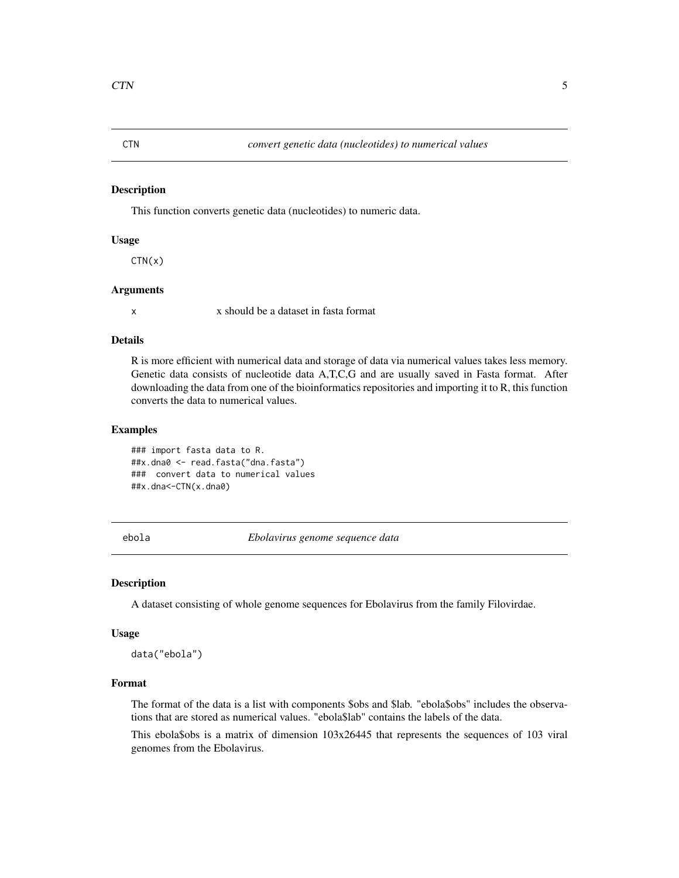<span id="page-4-0"></span>

This function converts genetic data (nucleotides) to numeric data.

#### Usage

 $CTN(x)$ 

#### Arguments

x x should be a dataset in fasta format

#### Details

R is more efficient with numerical data and storage of data via numerical values takes less memory. Genetic data consists of nucleotide data A,T,C,G and are usually saved in Fasta format. After downloading the data from one of the bioinformatics repositories and importing it to R, this function converts the data to numerical values.

#### Examples

### import fasta data to R. ##x.dna0 <- read.fasta("dna.fasta") ### convert data to numerical values ##x.dna<-CTN(x.dna0)

ebola *Ebolavirus genome sequence data*

#### Description

A dataset consisting of whole genome sequences for Ebolavirus from the family Filovirdae.

#### Usage

data("ebola")

#### Format

The format of the data is a list with components \$obs and \$lab. "ebola\$obs" includes the observations that are stored as numerical values. "ebola\$lab" contains the labels of the data.

This ebola\$obs is a matrix of dimension 103x26445 that represents the sequences of 103 viral genomes from the Ebolavirus.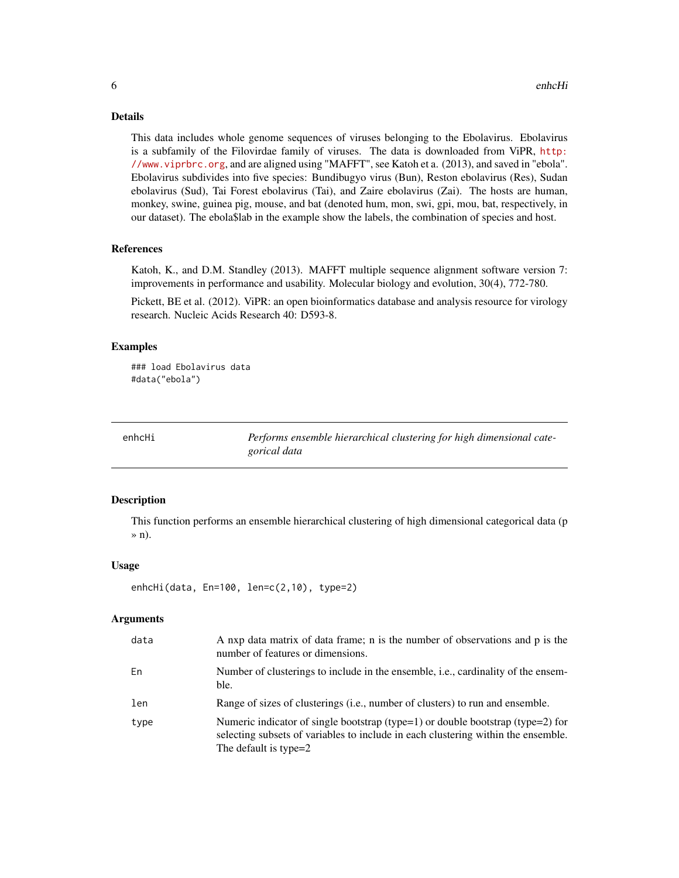#### <span id="page-5-0"></span>Details

This data includes whole genome sequences of viruses belonging to the Ebolavirus. Ebolavirus is a subfamily of the Filovirdae family of viruses. The data is downloaded from ViPR, [http:](http://www.viprbrc.org) [//www.viprbrc.org](http://www.viprbrc.org), and are aligned using "MAFFT", see Katoh et a. (2013), and saved in "ebola". Ebolavirus subdivides into five species: Bundibugyo virus (Bun), Reston ebolavirus (Res), Sudan ebolavirus (Sud), Tai Forest ebolavirus (Tai), and Zaire ebolavirus (Zai). The hosts are human, monkey, swine, guinea pig, mouse, and bat (denoted hum, mon, swi, gpi, mou, bat, respectively, in our dataset). The ebola\$lab in the example show the labels, the combination of species and host.

#### References

Katoh, K., and D.M. Standley (2013). MAFFT multiple sequence alignment software version 7: improvements in performance and usability. Molecular biology and evolution, 30(4), 772-780.

Pickett, BE et al. (2012). ViPR: an open bioinformatics database and analysis resource for virology research. Nucleic Acids Research 40: D593-8.

#### Examples

```
### load Ebolavirus data
#data("ebola")
```
enhcHi *Performs ensemble hierarchical clustering for high dimensional categorical data*

#### Description

This function performs an ensemble hierarchical clustering of high dimensional categorical data (p » n).

#### Usage

```
enhcHi(data, En=100, len=c(2,10), type=2)
```
#### **Arguments**

| data | A nxp data matrix of data frame; n is the number of observations and p is the<br>number of features or dimensions.                                                                            |
|------|-----------------------------------------------------------------------------------------------------------------------------------------------------------------------------------------------|
| En   | Number of clusterings to include in the ensemble, i.e., cardinality of the ensem-<br>ble.                                                                                                     |
| len  | Range of sizes of clusterings (i.e., number of clusters) to run and ensemble.                                                                                                                 |
| type | Numeric indicator of single bootstrap (type=1) or double bootstrap (type=2) for<br>selecting subsets of variables to include in each clustering within the ensemble.<br>The default is type=2 |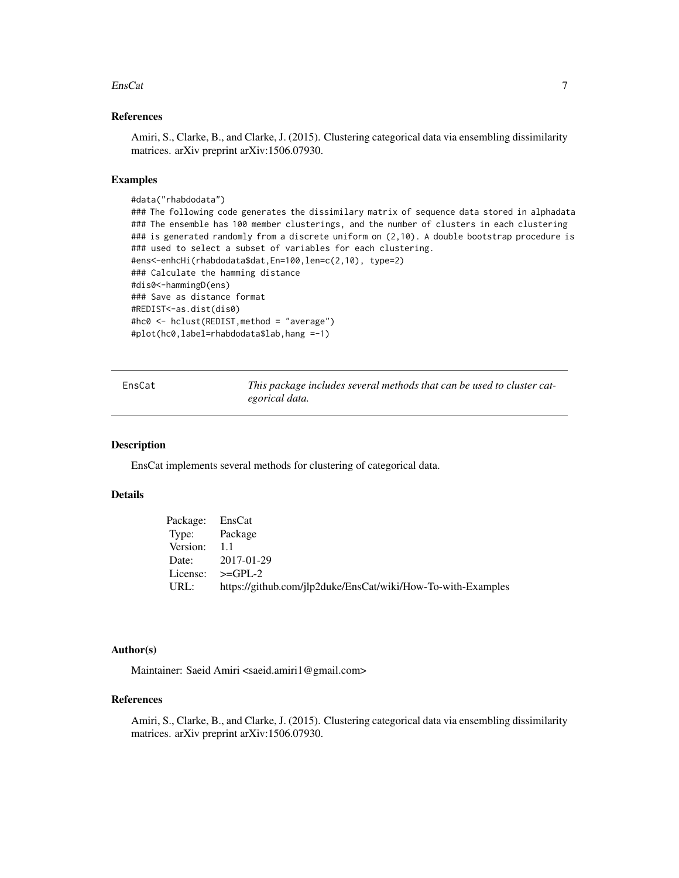#### <span id="page-6-0"></span>EnsCat 7

#### References

Amiri, S., Clarke, B., and Clarke, J. (2015). Clustering categorical data via ensembling dissimilarity matrices. arXiv preprint arXiv:1506.07930.

#### Examples

```
#data("rhabdodata")
### The following code generates the dissimilary matrix of sequence data stored in alphadata
### The ensemble has 100 member clusterings, and the number of clusters in each clustering
### is generated randomly from a discrete uniform on (2,10). A double bootstrap procedure is
### used to select a subset of variables for each clustering.
#ens<-enhcHi(rhabdodata$dat,En=100,len=c(2,10), type=2)
### Calculate the hamming distance
#dis0<-hammingD(ens)
### Save as distance format
#REDIST<-as.dist(dis0)
#hc0 <- hclust(REDIST,method = "average")
#plot(hc0,label=rhabdodata$lab,hang =-1)
```

| ſ<br>н.<br>n |  |
|--------------|--|
|--------------|--|

This package includes several methods that can be used to cluster cat*egorical data.*

#### Description

EnsCat implements several methods for clustering of categorical data.

#### Details

| Package: EnsCat |                                                              |
|-----------------|--------------------------------------------------------------|
| Type: Package   |                                                              |
| Version: 1.1    |                                                              |
|                 | Date: 2017-01-29                                             |
|                 | License: $>=$ GPL-2                                          |
| URL:            | https://github.com/jlp2duke/EnsCat/wiki/How-To-with-Examples |

#### Author(s)

Maintainer: Saeid Amiri <saeid.amiri1@gmail.com>

#### References

Amiri, S., Clarke, B., and Clarke, J. (2015). Clustering categorical data via ensembling dissimilarity matrices. arXiv preprint arXiv:1506.07930.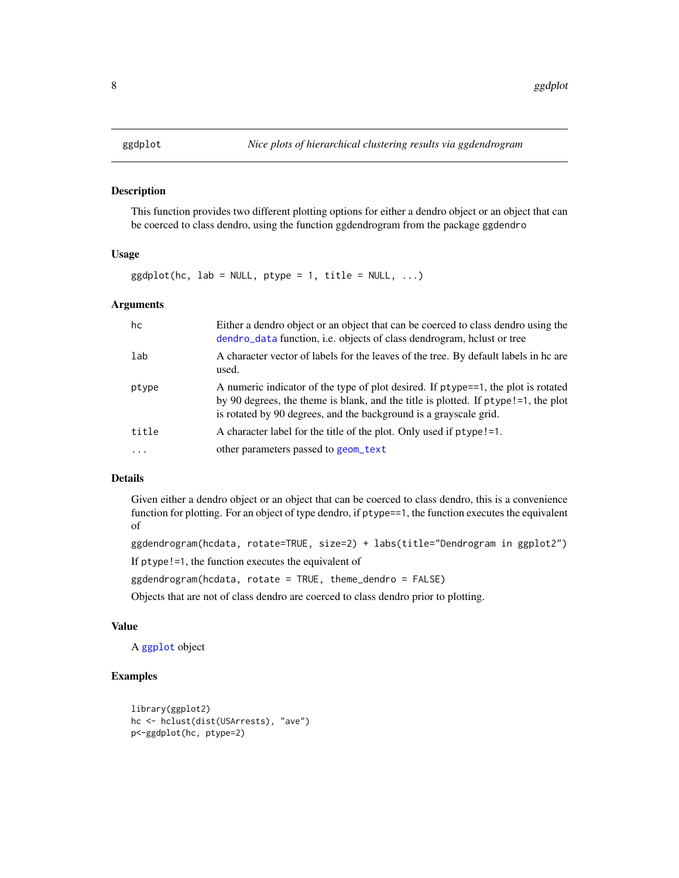<span id="page-7-0"></span>

This function provides two different plotting options for either a dendro object or an object that can be coerced to class dendro, using the function ggdendrogram from the package ggdendro

#### Usage

 $ggdplot(hc, lab = NULL, ptype = 1, title = NULL, ...)$ 

#### Arguments

| hc       | Either a dendro object or an object that can be coerced to class dendro using the<br>dendro_data function, i.e. objects of class dendrogram, helust or tree                                                                                  |
|----------|----------------------------------------------------------------------------------------------------------------------------------------------------------------------------------------------------------------------------------------------|
| lab      | A character vector of labels for the leaves of the tree. By default labels in hc are<br>used.                                                                                                                                                |
| ptype    | A numeric indicator of the type of plot desired. If ptype==1, the plot is rotated<br>by 90 degrees, the theme is blank, and the title is plotted. If ptype!=1, the plot<br>is rotated by 90 degrees, and the background is a grayscale grid. |
| title    | A character label for the title of the plot. Only used if ptype!=1.                                                                                                                                                                          |
| $\cdots$ | other parameters passed to geom_text                                                                                                                                                                                                         |

#### Details

Given either a dendro object or an object that can be coerced to class dendro, this is a convenience function for plotting. For an object of type dendro, if ptype==1, the function executes the equivalent of

```
ggdendrogram(hcdata, rotate=TRUE, size=2) + labs(title="Dendrogram in ggplot2")
```
If ptype!=1, the function executes the equivalent of

ggdendrogram(hcdata, rotate = TRUE, theme\_dendro = FALSE)

Objects that are not of class dendro are coerced to class dendro prior to plotting.

#### Value

A [ggplot](#page-0-0) object

```
library(ggplot2)
hc <- hclust(dist(USArrests), "ave")
p<-ggdplot(hc, ptype=2)
```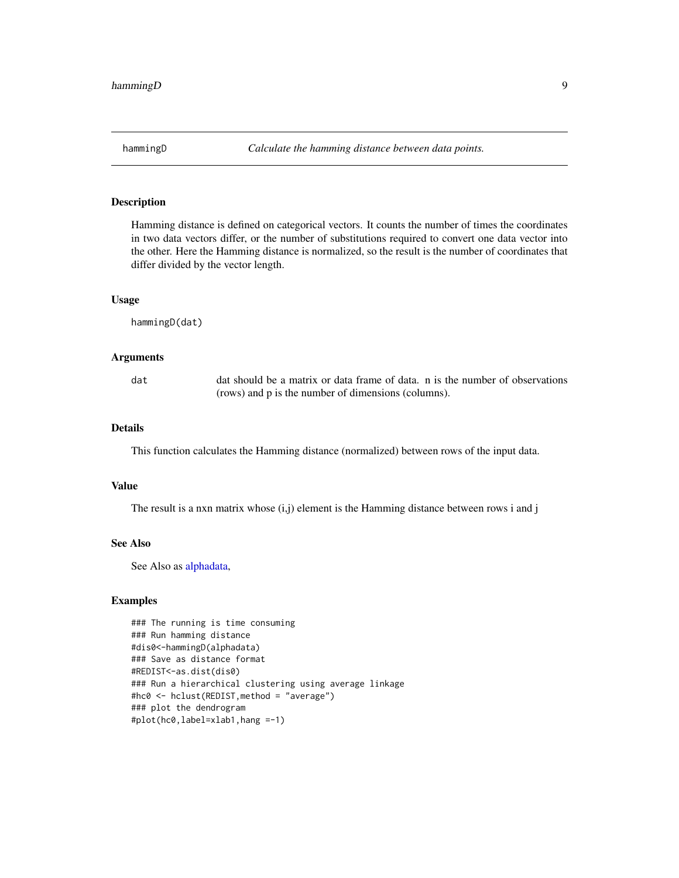<span id="page-8-0"></span>Hamming distance is defined on categorical vectors. It counts the number of times the coordinates in two data vectors differ, or the number of substitutions required to convert one data vector into the other. Here the Hamming distance is normalized, so the result is the number of coordinates that differ divided by the vector length.

#### Usage

hammingD(dat)

#### Arguments

dat dat should be a matrix or data frame of data. n is the number of observations (rows) and p is the number of dimensions (columns).

#### Details

This function calculates the Hamming distance (normalized) between rows of the input data.

#### Value

The result is a nxn matrix whose  $(i,j)$  element is the Hamming distance between rows i and j

#### See Also

See Also as [alphadata,](#page-1-1)

```
### The running is time consuming
### Run hamming distance
#dis0<-hammingD(alphadata)
### Save as distance format
#REDIST<-as.dist(dis0)
### Run a hierarchical clustering using average linkage
#hc0 <- hclust(REDIST,method = "average")
### plot the dendrogram
#plot(hc0,label=xlab1,hang =-1)
```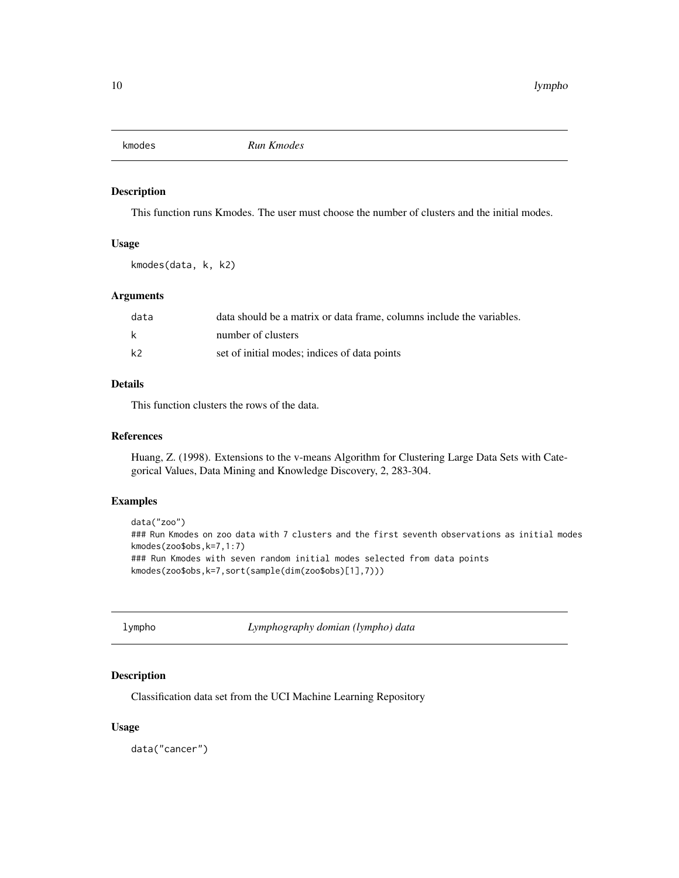<span id="page-9-0"></span>

This function runs Kmodes. The user must choose the number of clusters and the initial modes.

#### Usage

kmodes(data, k, k2)

#### Arguments

| data           | data should be a matrix or data frame, columns include the variables. |
|----------------|-----------------------------------------------------------------------|
| k              | number of clusters                                                    |
| k <sub>2</sub> | set of initial modes; indices of data points                          |

#### Details

This function clusters the rows of the data.

#### References

Huang, Z. (1998). Extensions to the v-means Algorithm for Clustering Large Data Sets with Categorical Values, Data Mining and Knowledge Discovery, 2, 283-304.

#### Examples

```
data("zoo")
### Run Kmodes on zoo data with 7 clusters and the first seventh observations as initial modes
kmodes(zoo$obs,k=7,1:7)
### Run Kmodes with seven random initial modes selected from data points
kmodes(zoo$obs,k=7,sort(sample(dim(zoo$obs)[1],7)))
```

| lympho |  |
|--------|--|
|--------|--|

lympho *Lymphography domian (lympho) data*

#### Description

Classification data set from the UCI Machine Learning Repository

#### Usage

data("cancer")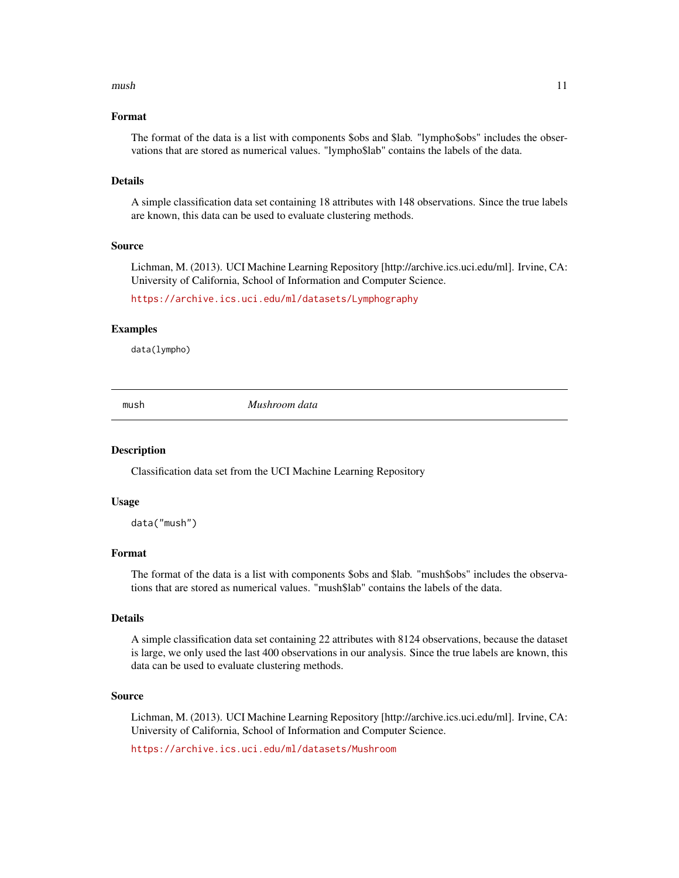#### <span id="page-10-0"></span> $mush$  and  $l1$

#### Format

The format of the data is a list with components \$obs and \$lab. "lympho\$obs" includes the observations that are stored as numerical values. "lympho\$lab" contains the labels of the data.

#### Details

A simple classification data set containing 18 attributes with 148 observations. Since the true labels are known, this data can be used to evaluate clustering methods.

#### Source

Lichman, M. (2013). UCI Machine Learning Repository [http://archive.ics.uci.edu/ml]. Irvine, CA: University of California, School of Information and Computer Science.

<https://archive.ics.uci.edu/ml/datasets/Lymphography>

#### Examples

data(lympho)

mush *Mushroom data*

#### Description

Classification data set from the UCI Machine Learning Repository

#### Usage

data("mush")

#### Format

The format of the data is a list with components \$obs and \$lab. "mush\$obs" includes the observations that are stored as numerical values. "mush\$lab" contains the labels of the data.

#### Details

A simple classification data set containing 22 attributes with 8124 observations, because the dataset is large, we only used the last 400 observations in our analysis. Since the true labels are known, this data can be used to evaluate clustering methods.

#### Source

Lichman, M. (2013). UCI Machine Learning Repository [http://archive.ics.uci.edu/ml]. Irvine, CA: University of California, School of Information and Computer Science.

<https://archive.ics.uci.edu/ml/datasets/Mushroom>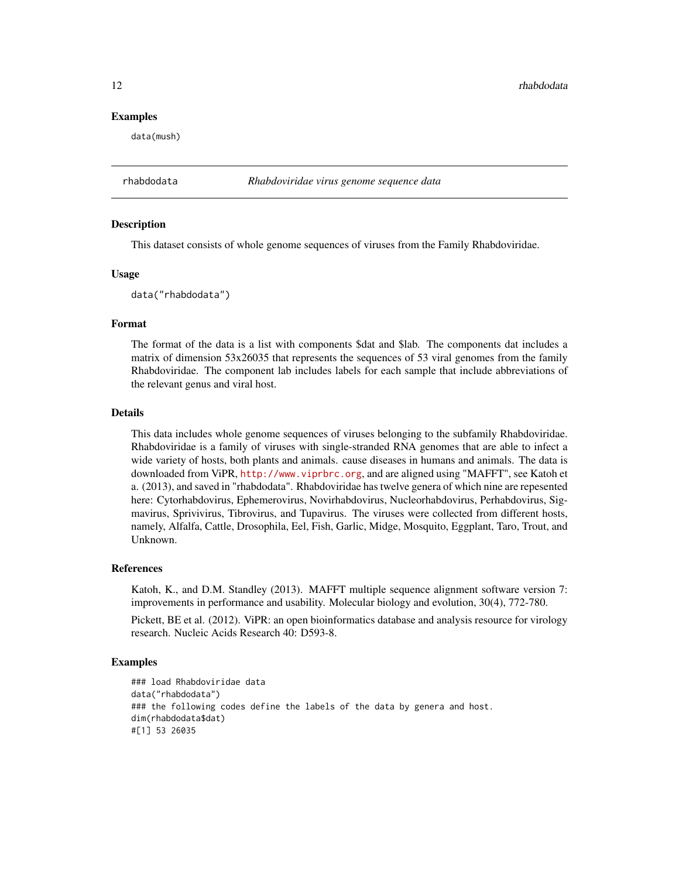12 rhabdodata and the set of the set of the set of the set of the set of the set of the set of the set of the set of the set of the set of the set of the set of the set of the set of the set of the set of the set of the se

#### Examples

data(mush)

rhabdodata *Rhabdoviridae virus genome sequence data*

#### Description

This dataset consists of whole genome sequences of viruses from the Family Rhabdoviridae.

#### Usage

data("rhabdodata")

#### Format

The format of the data is a list with components \$dat and \$lab. The components dat includes a matrix of dimension 53x26035 that represents the sequences of 53 viral genomes from the family Rhabdoviridae. The component lab includes labels for each sample that include abbreviations of the relevant genus and viral host.

#### Details

This data includes whole genome sequences of viruses belonging to the subfamily Rhabdoviridae. Rhabdoviridae is a family of viruses with single-stranded RNA genomes that are able to infect a wide variety of hosts, both plants and animals. cause diseases in humans and animals. The data is downloaded from ViPR, <http://www.viprbrc.org>, and are aligned using "MAFFT", see Katoh et a. (2013), and saved in "rhabdodata". Rhabdoviridae has twelve genera of which nine are repesented here: Cytorhabdovirus, Ephemerovirus, Novirhabdovirus, Nucleorhabdovirus, Perhabdovirus, Sigmavirus, Sprivivirus, Tibrovirus, and Tupavirus. The viruses were collected from different hosts, namely, Alfalfa, Cattle, Drosophila, Eel, Fish, Garlic, Midge, Mosquito, Eggplant, Taro, Trout, and Unknown.

#### References

Katoh, K., and D.M. Standley (2013). MAFFT multiple sequence alignment software version 7: improvements in performance and usability. Molecular biology and evolution, 30(4), 772-780.

Pickett, BE et al. (2012). ViPR: an open bioinformatics database and analysis resource for virology research. Nucleic Acids Research 40: D593-8.

```
### load Rhabdoviridae data
data("rhabdodata")
### the following codes define the labels of the data by genera and host.
dim(rhabdodata$dat)
#[1] 53 26035
```
<span id="page-11-0"></span>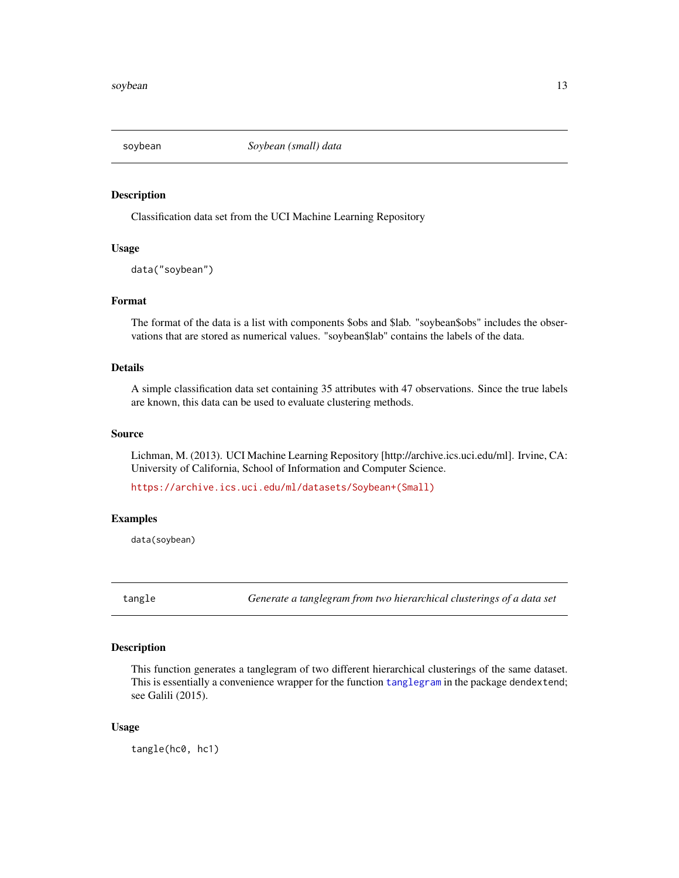<span id="page-12-0"></span>

Classification data set from the UCI Machine Learning Repository

#### Usage

data("soybean")

#### Format

The format of the data is a list with components \$obs and \$lab. "soybean\$obs" includes the observations that are stored as numerical values. "soybean\$lab" contains the labels of the data.

#### Details

A simple classification data set containing 35 attributes with 47 observations. Since the true labels are known, this data can be used to evaluate clustering methods.

#### Source

Lichman, M. (2013). UCI Machine Learning Repository [http://archive.ics.uci.edu/ml]. Irvine, CA: University of California, School of Information and Computer Science.

[https://archive.ics.uci.edu/ml/datasets/Soybean+\(Small\)](https://archive.ics.uci.edu/ml/datasets/Soybean+(Small))

#### Examples

data(soybean)

tangle *Generate a tanglegram from two hierarchical clusterings of a data set*

#### Description

This function generates a tanglegram of two different hierarchical clusterings of the same dataset. This is essentially a convenience wrapper for the function [tanglegram](#page-0-0) in the package dendextend; see Galili (2015).

#### Usage

tangle(hc0, hc1)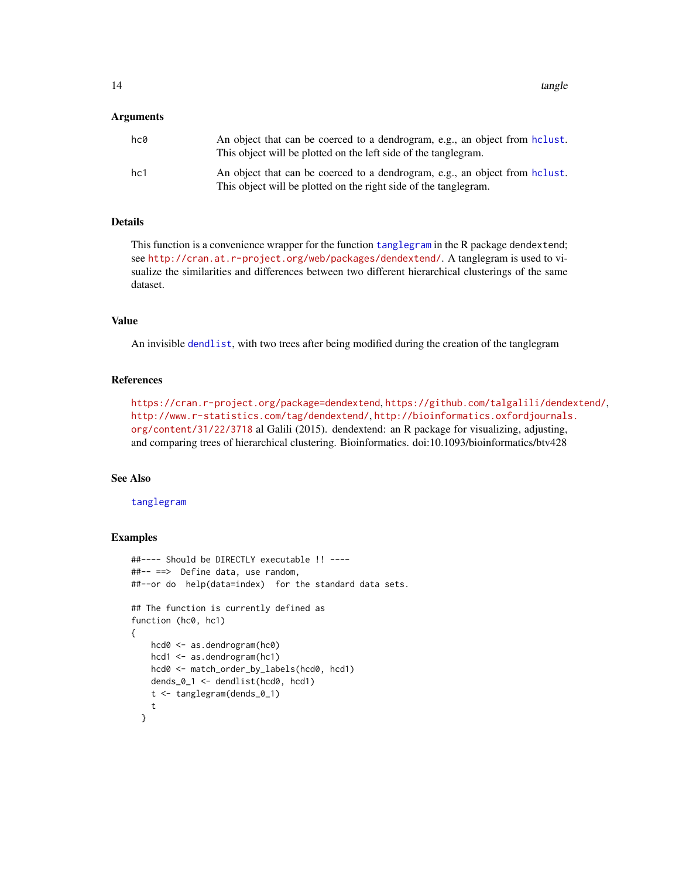<span id="page-13-0"></span>14 tangle

#### Arguments

| hc0 | An object that can be coerced to a dendrogram, e.g., an object from heliust.<br>This object will be plotted on the left side of the tanglegram.  |
|-----|--------------------------------------------------------------------------------------------------------------------------------------------------|
| hc1 | An object that can be coerced to a dendrogram, e.g., an object from holiest.<br>This object will be plotted on the right side of the tanglegram. |

### Details

This function is a convenience wrapper for the function [tanglegram](#page-0-0) in the R package dendextend; see <http://cran.at.r-project.org/web/packages/dendextend/>. A tanglegram is used to visualize the similarities and differences between two different hierarchical clusterings of the same dataset.

#### Value

An invisible [dendlist](#page-0-0), with two trees after being modified during the creation of the tanglegram

#### References

<https://cran.r-project.org/package=dendextend>, <https://github.com/talgalili/dendextend/>, <http://www.r-statistics.com/tag/dendextend/>, [http://bioinformatics.oxfordjournals](http://bioinformatics.oxfordjournals.org/content/31/22/3718). [org/content/31/22/3718](http://bioinformatics.oxfordjournals.org/content/31/22/3718) al Galili (2015). dendextend: an R package for visualizing, adjusting, and comparing trees of hierarchical clustering. Bioinformatics. doi:10.1093/bioinformatics/btv428

#### See Also

#### [tanglegram](#page-0-0)

```
##---- Should be DIRECTLY executable !! ----
##-- ==> Define data, use random,
##--or do help(data=index) for the standard data sets.
## The function is currently defined as
function (hc0, hc1)
{
   hcd0 <- as.dendrogram(hc0)
   hcd1 <- as.dendrogram(hc1)
   hcd0 <- match_order_by_labels(hcd0, hcd1)
   dends_0_1 <- dendlist(hcd0, hcd1)
   t <- tanglegram(dends_0_1)
    t
 }
```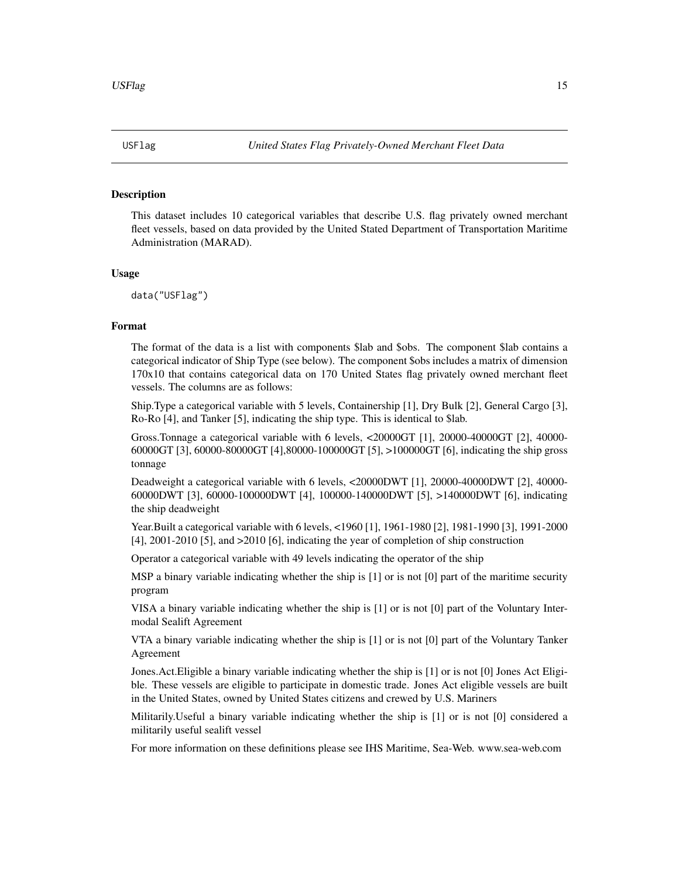<span id="page-14-0"></span>

This dataset includes 10 categorical variables that describe U.S. flag privately owned merchant fleet vessels, based on data provided by the United Stated Department of Transportation Maritime Administration (MARAD).

#### Usage

data("USFlag")

#### Format

The format of the data is a list with components \$lab and \$obs. The component \$lab contains a categorical indicator of Ship Type (see below). The component \$obs includes a matrix of dimension 170x10 that contains categorical data on 170 United States flag privately owned merchant fleet vessels. The columns are as follows:

Ship.Type a categorical variable with 5 levels, Containership [1], Dry Bulk [2], General Cargo [3], Ro-Ro [4], and Tanker [5], indicating the ship type. This is identical to \$lab.

Gross.Tonnage a categorical variable with 6 levels, <20000GT [1], 20000-40000GT [2], 40000- 60000GT [3], 60000-80000GT [4],80000-100000GT [5], >100000GT [6], indicating the ship gross tonnage

Deadweight a categorical variable with 6 levels, <20000DWT [1], 20000-40000DWT [2], 40000- 60000DWT [3], 60000-100000DWT [4], 100000-140000DWT [5], >140000DWT [6], indicating the ship deadweight

Year.Built a categorical variable with 6 levels, <1960 [1], 1961-1980 [2], 1981-1990 [3], 1991-2000 [4], 2001-2010 [5], and >2010 [6], indicating the year of completion of ship construction

Operator a categorical variable with 49 levels indicating the operator of the ship

MSP a binary variable indicating whether the ship is [1] or is not [0] part of the maritime security program

VISA a binary variable indicating whether the ship is [1] or is not [0] part of the Voluntary Intermodal Sealift Agreement

VTA a binary variable indicating whether the ship is [1] or is not [0] part of the Voluntary Tanker Agreement

Jones.Act.Eligible a binary variable indicating whether the ship is [1] or is not [0] Jones Act Eligible. These vessels are eligible to participate in domestic trade. Jones Act eligible vessels are built in the United States, owned by United States citizens and crewed by U.S. Mariners

Militarily.Useful a binary variable indicating whether the ship is [1] or is not [0] considered a militarily useful sealift vessel

For more information on these definitions please see IHS Maritime, Sea-Web. www.sea-web.com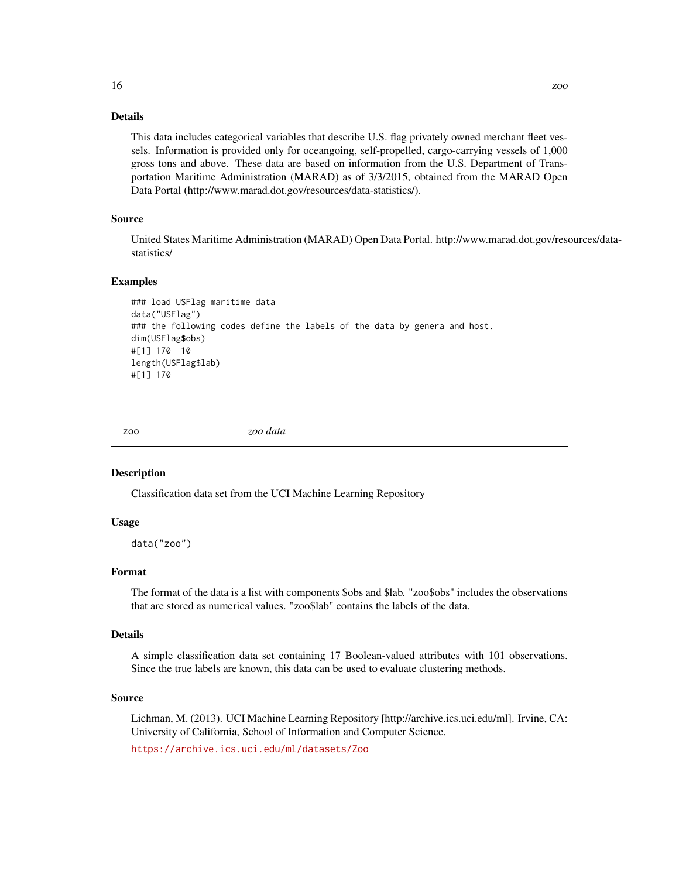#### Details

This data includes categorical variables that describe U.S. flag privately owned merchant fleet vessels. Information is provided only for oceangoing, self-propelled, cargo-carrying vessels of 1,000 gross tons and above. These data are based on information from the U.S. Department of Transportation Maritime Administration (MARAD) as of 3/3/2015, obtained from the MARAD Open Data Portal (http://www.marad.dot.gov/resources/data-statistics/).

#### Source

United States Maritime Administration (MARAD) Open Data Portal. http://www.marad.dot.gov/resources/datastatistics/

#### Examples

```
### load USFlag maritime data
data("USFlag")
### the following codes define the labels of the data by genera and host.
dim(USFlag$obs)
#[1] 170 10
length(USFlag$lab)
#[1] 170
```
zoo *zoo data*

#### Description

Classification data set from the UCI Machine Learning Repository

#### Usage

data("zoo")

#### Format

The format of the data is a list with components \$obs and \$lab. "zoo\$obs" includes the observations that are stored as numerical values. "zoo\$lab" contains the labels of the data.

#### Details

A simple classification data set containing 17 Boolean-valued attributes with 101 observations. Since the true labels are known, this data can be used to evaluate clustering methods.

#### Source

Lichman, M. (2013). UCI Machine Learning Repository [http://archive.ics.uci.edu/ml]. Irvine, CA: University of California, School of Information and Computer Science.

<https://archive.ics.uci.edu/ml/datasets/Zoo>

<span id="page-15-0"></span>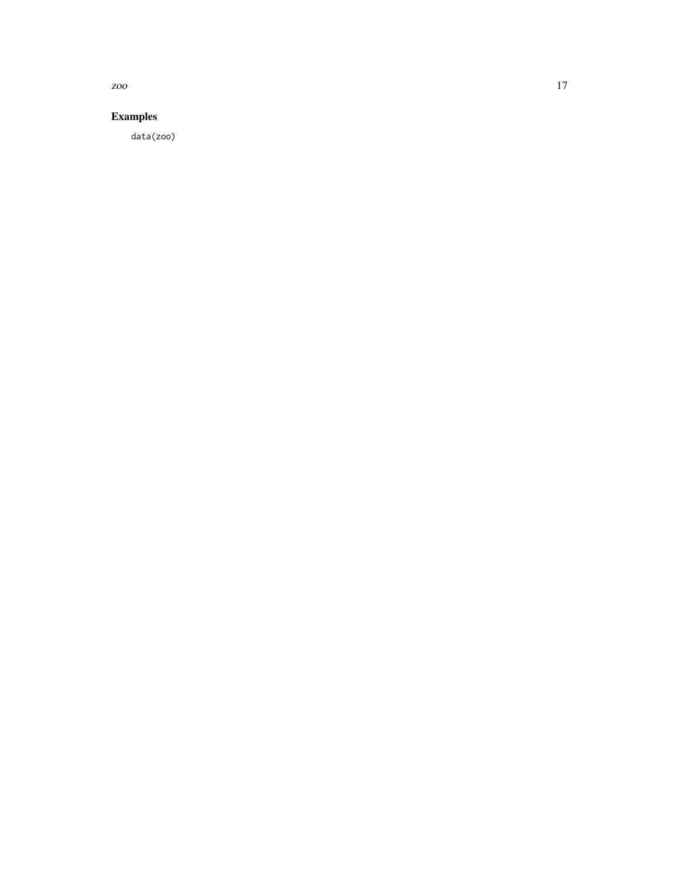zoo  $17$ 

### Examples

data(zoo)